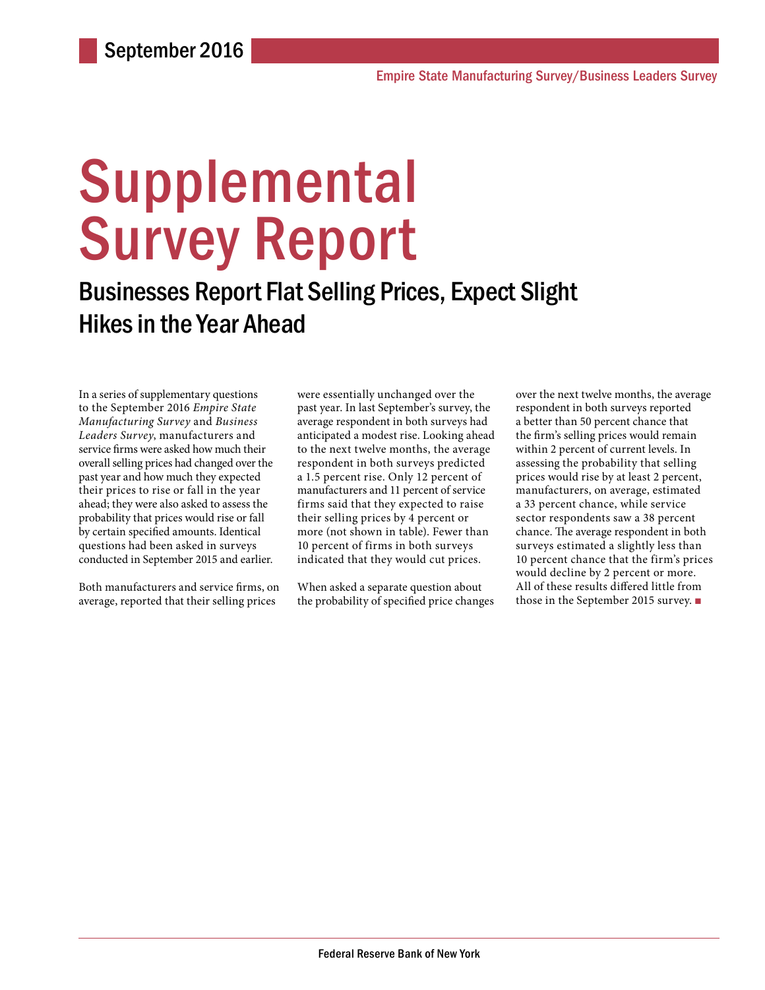# **Supplemental** Survey Report

## Businesses Report Flat Selling Prices, Expect Slight Hikes in the Year Ahead

In a series of supplementary questions to the September 2016 *Empire State Manufacturing Survey* and *Business Leaders Survey*, manufacturers and service firms were asked how much their overall selling prices had changed over the past year and how much they expected their prices to rise or fall in the year ahead; they were also asked to assess the probability that prices would rise or fall by certain specified amounts. Identical questions had been asked in surveys conducted in September 2015 and earlier.

Both manufacturers and service firms, on average, reported that their selling prices

were essentially unchanged over the past year. In last September's survey, the average respondent in both surveys had anticipated a modest rise. Looking ahead to the next twelve months, the average respondent in both surveys predicted a 1.5 percent rise. Only 12 percent of manufacturers and 11 percent of service firms said that they expected to raise their selling prices by 4 percent or more (not shown in table). Fewer than 10 percent of firms in both surveys indicated that they would cut prices.

When asked a separate question about the probability of specified price changes

over the next twelve months, the average respondent in both surveys reported a better than 50 percent chance that the firm's selling prices would remain within 2 percent of current levels. In assessing the probability that selling prices would rise by at least 2 percent, manufacturers, on average, estimated a 33 percent chance, while service sector respondents saw a 38 percent chance. The average respondent in both surveys estimated a slightly less than 10 percent chance that the firm's prices would decline by 2 percent or more. All of these results differed little from those in the September 2015 survey. ■